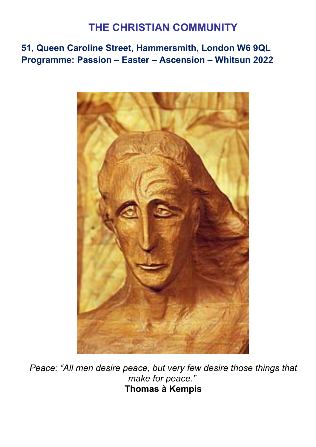## **THE CHRISTIAN COMMUNITY**

**51, Queen Caroline Street, Hammersmith, London W6 9QL Programme: Passion – Easter – Ascension – Whitsun 2022**



*Peace: "All men desire peace, but very few desire those things that make for peace."* **Thomas à Kempis**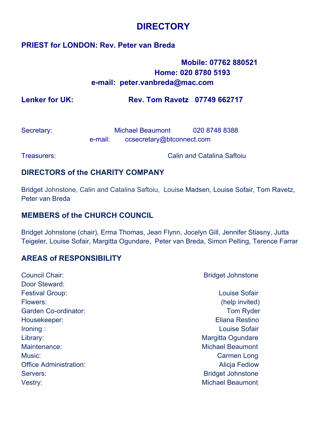### **DIRECTORY**

#### **PRIEST for LONDON: Rev. Peter van Breda**

### **Mobile: 07762 880521 Home: 020 8780 5193 e-mail: peter.vanbreda@mac.com**

**Lenker for UK: Rev. Tom Ravetz 07749 662717**

| Secretary: |         | <b>Michael Beaumont</b>   | 020 8748 8388 |
|------------|---------|---------------------------|---------------|
|            | e-mail: | ccsecretary@btconnect.com |               |

Treasurers: Calin and Catalina Saftoiu

#### **DIRECTORS of the CHARITY COMPANY**

Bridget Johnstone, Calin and Catalina Saftoiu, Louise Madsen, Louise Sofair, Tom Ravetz, Peter van Breda

#### **MEMBERS of the CHURCH COUNCIL**

Bridget Johnstone (chair), Erma Thomas, Jean Flynn, Jocelyn Gill, Jennifer Stiasny, Jutta Teigeler, Louise Sofair, Margitta Ogundare, Peter van Breda, Simon Pelling, Terence Farrar

#### **AREAS of RESPONSIBILITY**

| Council Chair:                | <b>Bridget Johnstone</b> |
|-------------------------------|--------------------------|
| Door Steward:                 |                          |
| <b>Festival Group:</b>        | Louise Sofair            |
| Flowers:                      | (help invited)           |
| Garden Co-ordinator:          | <b>Tom Ryder</b>         |
| Housekeeper:                  | Eliana Restino           |
| Ironing:                      | Louise Sofair            |
| Library:                      | Margitta Ogundare        |
| Maintenance:                  | <b>Michael Beaumont</b>  |
| Music:                        | Carmen Long              |
| <b>Office Administration:</b> | <b>Alicia Fediow</b>     |
| Servers:                      | <b>Bridget Johnstone</b> |
| Vestry:                       | <b>Michael Beaumont</b>  |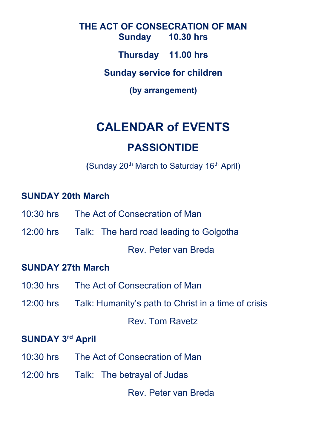**THE ACT OF CONSECRATION OF MAN Sunday 10.30 hrs Thursday 11.00 hrs Sunday service for children (by arrangement)**

# **CALENDAR of EVENTS**

## **PASSIONTIDE**

**(Sunday 20<sup>th</sup> March to Saturday 16<sup>th</sup> April)** 

### **SUNDAY 20th March**

- 10:30 hrs The Act of Consecration of Man
- 12:00 hrs Talk: The hard road leading to Golgotha

Rev. Peter van Breda

### **SUNDAY 27th March**

- 10:30 hrs The Act of Consecration of Man
- 12:00 hrs Talk: Humanity's path to Christ in a time of crisis

Rev. Tom Ravetz

### **SUNDAY 3rd April**

- 10:30 hrs The Act of Consecration of Man
- 12:00 hrs Talk: The betrayal of Judas

Rev. Peter van Breda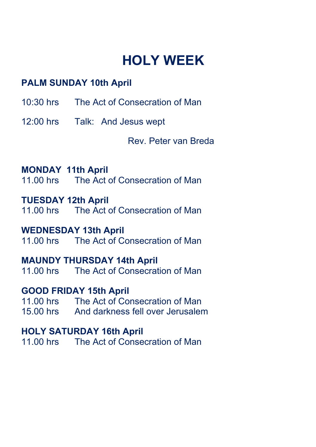# **HOLY WEEK**

### **PALM SUNDAY 10th April**

- 10:30 hrs The Act of Consecration of Man
- 12:00 hrs Talk: And Jesus wept

Rev. Peter van Breda

### **MONDAY 11th April**

11.00 hrs The Act of Consecration of Man

# **TUESDAY 12th April**

The Act of Consecration of Man

# **WEDNESDAY 13th April**<br>11.00 hrs. The Act of Co

The Act of Consecration of Man

### **MAUNDY THURSDAY 14th April**

11.00 hrs The Act of Consecration of Man

### **GOOD FRIDAY 15th April**

11.00 hrs The Act of Consecration of Man 15.00 hrs And darkness fell over Jerusalem

### **HOLY SATURDAY 16th April**

11.00 hrs The Act of Consecration of Man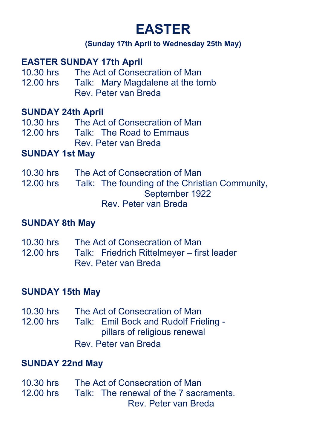# **EASTER**

### **(Sunday 17th April to Wednesday 25th May)**

### **EASTER SUNDAY 17th April**

- 10.30 hrs The Act of Consecration of Man<br>12.00 hrs Talk: Mary Magdalene at the to
- Talk: Mary Magdalene at the tomb Rev. Peter van Breda

### **SUNDAY 24th April**

- 10.30 hrs The Act of Consecration of Man<br>12.00 hrs Talk: The Road to Emmaus
- Talk: The Road to Emmaus Rev. Peter van Breda

### **SUNDAY 1st May**

10.30 hrs The Act of Consecration of Man 12.00 hrs Talk: The founding of the Christian Community, September 1922 Rev. Peter van Breda

### **SUNDAY 8th May**

- 10.30 hrs The Act of Consecration of Man<br>12.00 hrs Talk: Friedrich Rittelmever fir
- Talk: Friedrich Rittelmeyer first leader Rev. Peter van Breda

### **SUNDAY 15th May**

10.30 hrs The Act of Consecration of Man

12.00 hrs Talk: Emil Bock and Rudolf Frieling pillars of religious renewal

Rev. Peter van Breda

### **SUNDAY 22nd May**

10.30 hrs The Act of Consecration of Man<br>12.00 hrs Talk: The renewal of the 7 sacr Talk: The renewal of the 7 sacraments. Rev. Peter van Breda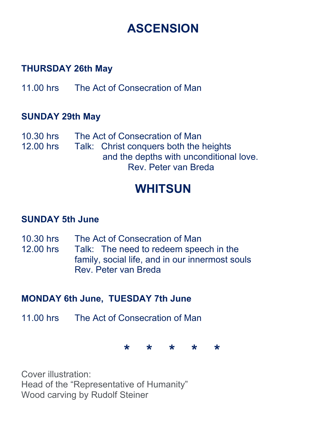# **ASCENSION**

### **THURSDAY 26th May**

11.00 hrs The Act of Consecration of Man

### **SUNDAY 29th May**

10.30 hrs The Act of Consecration of Man<br>12.00 hrs Talk: Christ conquers both the Talk: Christ conquers both the heights and the depths with unconditional love. Rev. Peter van Breda

# **WHITSUN**

### **SUNDAY 5th June**

- 10.30 hrs The Act of Consecration of Man
- 12.00 hrs Talk: The need to redeem speech in the family, social life, and in our innermost souls Rev. Peter van Breda

## **MONDAY 6th June, TUESDAY 7th June**

11.00 hrs The Act of Consecration of Man

**\* \* \* \* \***

Cover illustration: Head of the "Representative of Humanity" Wood carving by Rudolf Steiner